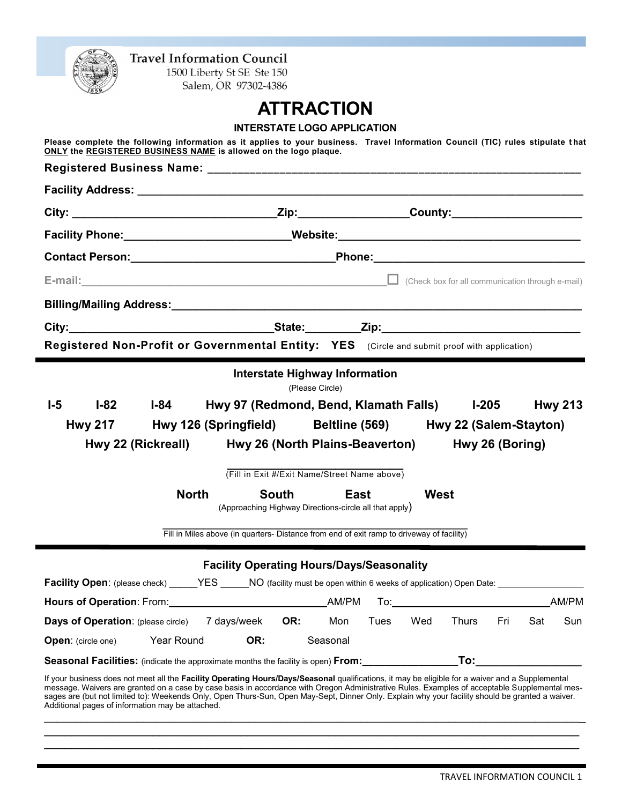

1500 Liberty St SE Ste 150 Salem, OR 97302-4386

# **ATTRACTION**

| Please complete the following information as it applies to your business. Travel Information Council (TIC) rules stipulate that         |
|-----------------------------------------------------------------------------------------------------------------------------------------|
| ONLY the REGISTERED BUSINESS NAME is allowed on the logo plaque.                                                                        |
|                                                                                                                                         |
|                                                                                                                                         |
|                                                                                                                                         |
| Facility Phone: Mebsite: Mebsite: Mebsite: 2008 and 2009 and 2012 and 2013 and 2013 and 2013 and 2013 and 2013                          |
|                                                                                                                                         |
| E-mail: Check box for all communication through e-mail)                                                                                 |
|                                                                                                                                         |
|                                                                                                                                         |
| Registered Non-Profit or Governmental Entity: YES (Circle and submit proof with application)                                            |
| <b>Interstate Highway Information</b>                                                                                                   |
| (Please Circle)<br>$I-5$<br>$I-82$<br>$I-84$<br>Hwy 97 (Redmond, Bend, Klamath Falls) l-205                                             |
|                                                                                                                                         |
| <b>Hwy 213</b>                                                                                                                          |
| Hwy 126 (Springfield) Beltline (569) Hwy 22 (Salem-Stayton)<br><b>Hwy 217</b>                                                           |
| Hwy 22 (Rickreall)<br>Hwy 26 (North Plains-Beaverton)<br>Hwy 26 (Boring)                                                                |
| (Fill in Exit #/Exit Name/Street Name above)                                                                                            |
| <b>North</b><br>West<br>South<br>East                                                                                                   |
| (Approaching Highway Directions-circle all that apply)                                                                                  |
| Fill in Miles above (in quarters- Distance from end of exit ramp to driveway of facility)                                               |
| <b>Facility Operating Hours/Days/Seasonality</b>                                                                                        |
| Facility Open: (please check) _____YES _____NO (facility must be open within 6 weeks of application) Open Date: _______________________ |
| AM/PM<br>Hours of Operation: From: Notice of AM/PM                                                                                      |
| <b>Days of Operation:</b> (please circle) 7 days/week<br>Sun<br>OR:<br>Mon<br>Tues<br>Wed<br>Thurs<br>Fri<br>Sat                        |
| Year Round<br>OR:<br>Seasonal<br><b>Open:</b> (circle one)                                                                              |

If your business does not meet all the **Facility Operating Hours/Days/Seasonal** qualifications, it may be eligible for a waiver and a Supplemental message. Waivers are granted on a case by case basis in accordance with Oregon Administrative Rules. Examples of acceptable Supplemental messages are (but not limited to): Weekends Only, Open Thurs-Sun, Open May-Sept, Dinner Only. Explain why your facility should be granted a waiver. Additional pages of information may be attached.

 $\_$  $\mathcal{L}_\mathcal{L} = \mathcal{L}_\mathcal{L} = \mathcal{L}_\mathcal{L} = \mathcal{L}_\mathcal{L} = \mathcal{L}_\mathcal{L} = \mathcal{L}_\mathcal{L} = \mathcal{L}_\mathcal{L} = \mathcal{L}_\mathcal{L} = \mathcal{L}_\mathcal{L} = \mathcal{L}_\mathcal{L} = \mathcal{L}_\mathcal{L} = \mathcal{L}_\mathcal{L} = \mathcal{L}_\mathcal{L} = \mathcal{L}_\mathcal{L} = \mathcal{L}_\mathcal{L} = \mathcal{L}_\mathcal{L} = \mathcal{L}_\mathcal{L}$  $\mathcal{L}_\mathcal{L}$  , and the set of the set of the set of the set of the set of the set of the set of the set of the set of the set of the set of the set of the set of the set of the set of the set of the set of the set of th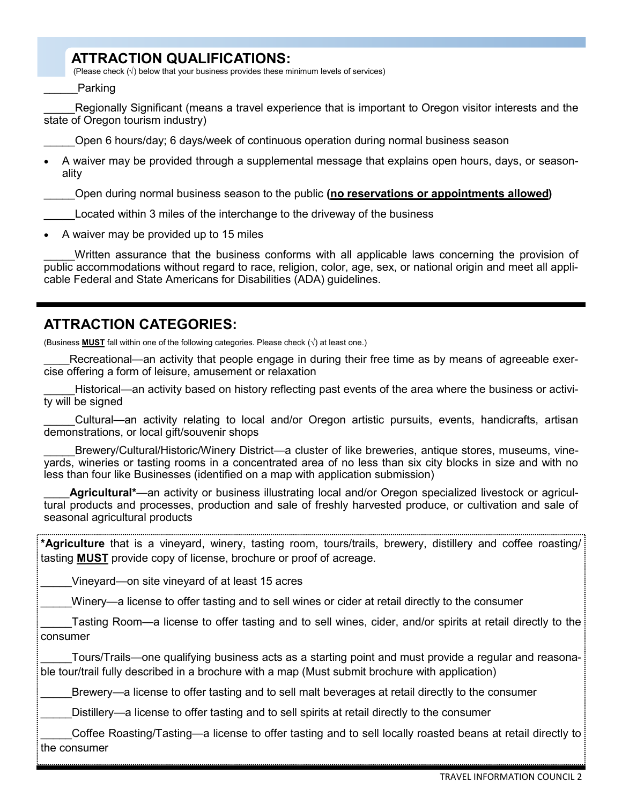## **ATTRACTION QUALIFICATIONS:**

(Please check  $(\sqrt{})$  below that your business provides these minimum levels of services)

**Parking** 

Regionally Significant (means a travel experience that is important to Oregon visitor interests and the state of Oregon tourism industry)

\_\_\_\_\_Open 6 hours/day; 6 days/week of continuous operation during normal business season

• A waiver may be provided through a supplemental message that explains open hours, days, or seasonality

\_\_\_\_\_Open during normal business season to the public **(no reservations or appointments allowed)**

\_\_\_\_\_Located within 3 miles of the interchange to the driveway of the business

• A waiver may be provided up to 15 miles

Written assurance that the business conforms with all applicable laws concerning the provision of public accommodations without regard to race, religion, color, age, sex, or national origin and meet all applicable Federal and State Americans for Disabilities (ADA) guidelines.

### **ATTRACTION CATEGORIES:**

(Business **MUST** fall within one of the following categories. Please check (√) at least one.)

Recreational—an activity that people engage in during their free time as by means of agreeable exercise offering a form of leisure, amusement or relaxation

\_\_\_\_\_Historical—an activity based on history reflecting past events of the area where the business or activity will be signed

\_\_\_\_\_Cultural—an activity relating to local and/or Oregon artistic pursuits, events, handicrafts, artisan demonstrations, or local gift/souvenir shops

\_\_\_\_\_Brewery/Cultural/Historic/Winery District—a cluster of like breweries, antique stores, museums, vineyards, wineries or tasting rooms in a concentrated area of no less than six city blocks in size and with no less than four like Businesses (identified on a map with application submission)

Agricultural<sup>\*</sup>—an activity or business illustrating local and/or Oregon specialized livestock or agricultural products and processes, production and sale of freshly harvested produce, or cultivation and sale of seasonal agricultural products

**\*Agriculture** that is a vineyard, winery, tasting room, tours/trails, brewery, distillery and coffee roasting/ tasting **MUST** provide copy of license, brochure or proof of acreage.

Vineyard—on site vineyard of at least 15 acres

Winery—a license to offer tasting and to sell wines or cider at retail directly to the consumer

\_\_\_\_\_Tasting Room—a license to offer tasting and to sell wines, cider, and/or spirits at retail directly to the consumer

Tours/Trails—one qualifying business acts as a starting point and must provide a regular and reasonable tour/trail fully described in a brochure with a map (Must submit brochure with application)

Brewery—a license to offer tasting and to sell malt beverages at retail directly to the consumer

Distillery—a license to offer tasting and to sell spirits at retail directly to the consumer

Coffee Roasting/Tasting—a license to offer tasting and to sell locally roasted beans at retail directly to the consumer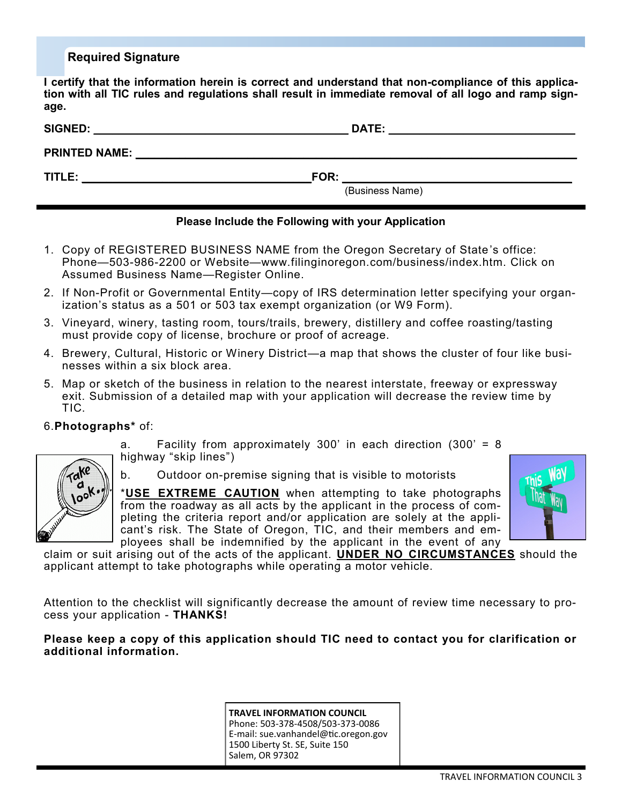#### **Required Signature**

**I certify that the information herein is correct and understand that non-compliance of this application with all TIC rules and regulations shall result in immediate removal of all logo and ramp signage.** 

| <b>SIGNED:</b>       | <b>DATE:</b>    |
|----------------------|-----------------|
| <b>PRINTED NAME:</b> |                 |
| TITLE:               | FOR:            |
|                      | (Business Name) |

#### **Please Include the Following with your Application**

- 1. Copy of REGISTERED BUSINESS NAME from the Oregon Secretary of State's office: Phone—503-986-2200 or Website—www.filinginoregon.com/business/index.htm. Click on Assumed Business Name—Register Online.
- 2. If Non-Profit or Governmental Entity—copy of IRS determination letter specifying your organization's status as a 501 or 503 tax exempt organization (or W9 Form).
- 3. Vineyard, winery, tasting room, tours/trails, brewery, distillery and coffee roasting/tasting must provide copy of license, brochure or proof of acreage.
- 4. Brewery, Cultural, Historic or Winery District—a map that shows the cluster of four like businesses within a six block area.
- 5. Map or sketch of the business in relation to the nearest interstate, freeway or expressway exit. Submission of a detailed map with your application will decrease the review time by TIC.

#### 6.**Photographs\*** of:

a. Facility from approximately 300' in each direction (300' = 8 highway "skip lines")



b. Outdoor on-premise signing that is visible to motorists

\***USE EXTREME CAUTION** when attempting to take photographs from the roadway as all acts by the applicant in the process of completing the criteria report and/or application are solely at the applicant's risk. The State of Oregon, TIC, and their members and employees shall be indemnified by the applicant in the event of any



claim or suit arising out of the acts of the applicant. **UNDER NO CIRCUMSTANCES** should the applicant attempt to take photographs while operating a motor vehicle.

Attention to the checklist will significantly decrease the amount of review time necessary to process your application - **THANKS!**

#### **Please keep a copy of this application should TIC need to contact you for clarification or additional information.**

**TRAVEL INFORMATION COUNCIL** Phone: 503-378-4508/503-373-0086 E-mail: sue.vanhandel@tic.oregon.gov 1500 Liberty St. SE, Suite 150 Salem, OR 97302